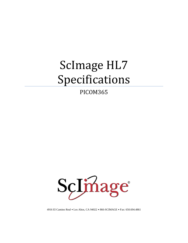# ScImage HL7 Specifications

PICOM365



4916 El Camino Real • Los Altos, CA 94022 • 866-SCIMAGE • Fax: 650.694.4861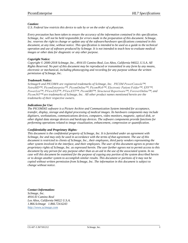#### *Caution:*

*U.S. Federal law restricts this device to sale by or on the order of a physician.*

*Every precaution has been taken to ensure the accuracy of the information contained in this specification. ScImage, Inc. will not be held responsible for errors made in the preparation of this document. ScImage, Inc. reserves the right to change or update any of the software/hardware specifications contained in this document, at any time, without notice. This specification is intended to be used as a guide to the technical operation and use of software produced by ScImage. It is not intended to teach how to evaluate medical images or other data for diagnostic or any other purpose.* 

#### *Copyright Notice:*

*Copyright* © *2000-2018 ScImage, Inc., 4916 El Camino Real, Los Altos, California 94022, U.S.A. All Rights Reserved. No part of this document may be reproduced or transmitted in any form by any means, electronic or mechanical, including photocopying and recording for any purpose without the written permission of ScImage, Inc.* 

#### *Trademark Notice:*

*ScImage® and PICOM® are registered trademarks of ScImage, Inc. PICOM PowerConsole™, NetraMD™, PicomEnterprise™, PicomOnline™, PicomWeb™, Electronic Patient Folder™, EPF™, PowerList™, PViewXYZ™, PViewXYT™, PicomSRI™, Structured Reportware™, ForeverOnline™, and Picom365™ are trademarks of ScImage, Inc. All other product names mentioned herein are the trademarks of their respective owners.*

#### *Indications for Use:*

*The PICOM365 software is a Picture Archive and Communication System intended for acceptance, transfer, display, storage and digital processing of medical images. Its hardware components may include digitizers, workstations, communications devices, computers, video monitors, magnetic, optical disk, or other digital data storage devices and hardcopy devices. The software components provide functions for performing operations related to image visualization, enhancement, compression or quantification.* 

#### *Confidentiality and Proprietary Rights:*

*This document is the confidential property of ScImage, Inc. It is furnished under an agreement with ScImage, Inc and may only be used in accordance with the terms of that agreement. The use of this document is restricted to clients of ScImage, Inc., their employees, third party vendors representing the other system involved in the interface, and their employees. The user of this document agrees to protect the proprietary rights of ScImage, Inc. as expressed herein. The user further agrees not to permit access to this document by any person for any purpose other than as an aid in the use of the associated system. In no case will this document be examined for the purpose of copying any portion of the system described herein or to design another system to accomplish similar results. This document or portions of it may not be copied without written permission from ScImage, Inc. The information in this document is subject to change without notice.*

### *Contact Information:*

*ScImage, Inc. 4916 El Camino Real Los Altos, California 94022 U.S.A. 1.866.ScImage 1.866.724.6243 [http://www.scimage.com](http://www.scimage.com/)*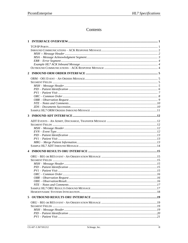# Contents

| 1 |  |
|---|--|
|   |  |
|   |  |
|   |  |
|   |  |
|   |  |
|   |  |
|   |  |
| 2 |  |
|   |  |
|   |  |
|   |  |
|   |  |
|   |  |
|   |  |
|   |  |
|   |  |
|   |  |
|   |  |
|   |  |
|   |  |
|   |  |
|   |  |
|   |  |
|   |  |
|   |  |
|   |  |
|   |  |
|   |  |
|   |  |
|   |  |
|   |  |
|   |  |
|   |  |
|   |  |
|   |  |
|   |  |
|   |  |
|   |  |
|   |  |
| 5 |  |
|   |  |
|   |  |
|   |  |
|   |  |
|   |  |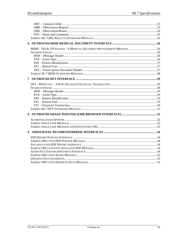| 9 |  |
|---|--|
|   |  |
|   |  |
|   |  |
|   |  |
|   |  |
|   |  |
|   |  |
|   |  |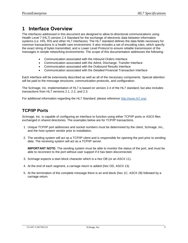# **1 Interface Overview**

The interfaces addressed in this document are designed to allow bi-directional communications using Health Level 7 (HL7) version 2.4 Standard for the exchange of electronic data between information systems (i.e. HIS, RIS and other HL7 interfaces). The HL7 standard defines the data fields necessary for common transactions in a health care environment. It also includes a set of encoding rules, which specify the exact string of bytes transmitted, and a Lower Level Protocol to ensure reliable transmission of the messages in simple networking environments. The scope of this documentation addresses the following:

- Communication associated with the Inbound Orders Interface
- Communication associated with the Admit, Discharge, Transfer Interface
- Communication associated with the Outbound Results Interface
- Communication associated with the Detailed Financial Transaction Interface

Each interface will be extensively described as well as all of the necessary components. Special attention will be paid to the message structures, communication protocols, and configuration.

The ScImage, Inc. implementation of HL7 is based on version 2.4 of the HL7 standard, but also includes transactions from HL7 versions 2.1, 2.2, and 2.3.

For additional information regarding the HL7 Standard, please reference [http://www.hl7.org/.](http://www.hl7.org/)

# **TCP/IP Ports**

ScImage, Inc. is capable of configuring an interface to function using either TCP/IP ports or ASCII files exchanged in shared directories. The examples below are for TCP/IP transactions.

- 1. Unique TCP/IP port addresses and socket numbers must be determined by the client, ScImage, Inc., and the host system vendor prior to installation.
- 2. The sending system will act as a TCP/IP client and is responsible for opening the port prior to sending data. The receiving system will act as a TCP/IP server.

**IMPORTANT NOTE:** The sending system must be able to monitor the status of the port, and must be able to reconnect to the port without user support if it has been disconnected.

- 3. ScImage expects a start block character which is a hex OB (or an ASCII 11).
- 4. At the end of each segment, a carriage return is added (hex OD, ASCII 13).
- 5. At the termination of the complete message there is an end block (hex 1C, ASCII 28) followed by a carriage return.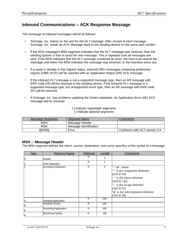### **Inbound Communications – ACK Response Message**

The exchange of inbound messages will be as follows:

- ScImage, Inc. listens on the port for the HL7 message. After receipt of each message. ScImage, Inc. sends an ACK Message back to the sending device on the same port number.
- If the ACK message's MSA segment indicates that the HL7 message was received, then the sending system is free to send the next message. This is repeated until all messages are sent. If the MSA indicates that the HL7 message contained an error, the host must resend the message until either the MSA indicates the message was received, or the interface times out.
- If a study is already in Rpt Signed status, inbound ORU messages containing preliminary reports (OBR-25=P) will be rejected with an Application Reject (AR) ACK message.
- If the inbound HL7 message is not a supported message type, then an AR message with ERR code 200 will be returned to the sending device. If the inbound HL7 message is a supported message type, but unsupported event type, then an AR message with ERR code 201 will be returned.
- If ScImage, Inc. has problems updating the Orders database, an Application Error (AE) ACK message will be returned.

|  |  |  | { } Indicate repeatable segments |
|--|--|--|----------------------------------|
|  |  |  |                                  |

[] Indicate optional segments

| Message Segments | Segment Name           | Comments                      |
|------------------|------------------------|-------------------------------|
| <b>MSH</b>       | Message Header         |                               |
| <b>MSA</b>       | Message Identification |                               |
| [[ERR]}          | Error                  | Conforms with HL7 version 2.4 |

### **MSH -- Message Header**

The MSH segment defines the intent, source, destination, and some specifics of the syntax of a message.

| Seq | <b>Element Name</b>          | Optional | Length | Comments                                                                                                                                                                                                                    |
|-----|------------------------------|----------|--------|-----------------------------------------------------------------------------------------------------------------------------------------------------------------------------------------------------------------------------|
| 0   | Header                       | R        | 3      |                                                                                                                                                                                                                             |
| 11  | <b>Field Separator</b>       | R        |        |                                                                                                                                                                                                                             |
| 2   | <b>Encoding Characters</b>   | R.       | 4      | $\sim \&$ where:<br>$\sim$ is the component delimiter<br>(ASCII 94)<br>$\sim$ is the repeat delimiter<br>(ASCII 126)<br>$\forall$ is the escape delimiter<br>(ASCII 92)<br>$\&$ is the subcomponent delimiter<br>(ASCII 38) |
| IЗ  | Sending Application          | R        | 180    |                                                                                                                                                                                                                             |
| 4   | <b>Sending Facility</b>      | R        | 180    |                                                                                                                                                                                                                             |
| 5   | <b>Receiving Application</b> | R        | 180    |                                                                                                                                                                                                                             |
| 6   | <b>Receiving Facility</b>    | R        | 180    |                                                                                                                                                                                                                             |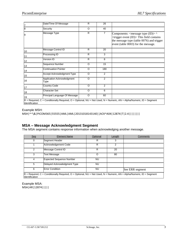|                | Date/Time Of Message               | $\overline{\mathsf{R}}$ | $\overline{26}$ |                                                                                                                                                                                                           |
|----------------|------------------------------------|-------------------------|-----------------|-----------------------------------------------------------------------------------------------------------------------------------------------------------------------------------------------------------|
| 8              | Security                           | O                       | 40              |                                                                                                                                                                                                           |
| 9              | Message Type                       | R                       | 7               | Components: <message <math="" type="">(ID) ^<br/><trigger (id)="" event=""> This field contains<br/>the message type (table 0076) and trigger<br/>event (table 0003) for the message.</trigger></message> |
| 10             | Message Control ID                 | R                       | 20              |                                                                                                                                                                                                           |
| 11             | Processing ID                      | R                       | 3               |                                                                                                                                                                                                           |
| 12             | Version ID                         | R                       | 8               |                                                                                                                                                                                                           |
| 13             | Sequence Number                    | O                       | 15              |                                                                                                                                                                                                           |
| 14             | <b>Continuation Pointer</b>        | $\circ$                 | 180             |                                                                                                                                                                                                           |
| 15             | Accept Acknowledgment Type         | O                       | $\overline{2}$  |                                                                                                                                                                                                           |
| 16             | Application Acknowledgment<br>Type | O                       | 2               |                                                                                                                                                                                                           |
| 17             | Country Code                       | O                       | $\overline{2}$  |                                                                                                                                                                                                           |
| 18             | <b>Character Set</b>               | O                       | 6               |                                                                                                                                                                                                           |
| 19             | Principal Language Of Message      | O                       | 60              |                                                                                                                                                                                                           |
| Identification |                                    |                         |                 | $R =$ Required, C = Conditionally Required, O = Optional, NU = Not Used, N = Numeric, AN = Alpha/Numeric, ID = Segment                                                                                    |

#### Example MSH:

MSH|^~\&|PICOM365|55555|AML|AML|20131018143140||ACK^A04|12874|T|2.4||||||||

### **MSA – Message Acknowledgment Segment**

The MSA segment contains response information when acknowledging another message.

| Seg                                                                                                                                      | <b>Element Name</b>             | Optional  | Length | Comments        |  |
|------------------------------------------------------------------------------------------------------------------------------------------|---------------------------------|-----------|--------|-----------------|--|
| 0                                                                                                                                        | Segment Header                  | R         | 3      |                 |  |
|                                                                                                                                          | Acknowledgement Code            | R         | 2      |                 |  |
| 2                                                                                                                                        | Message Control ID              | R         | 20     |                 |  |
| 3                                                                                                                                        | Text Message                    | Ω         | 80     |                 |  |
| 4                                                                                                                                        | <b>Expected Sequence Number</b> | <b>NU</b> |        |                 |  |
| 5                                                                                                                                        | Delayed Acknowledgment Type     | <b>NU</b> |        |                 |  |
| 6                                                                                                                                        | <b>Error Condition</b>          | <b>NU</b> |        | See ERR segment |  |
| $R =$ Required, C = Conditionally Required, O = Optional, NU = Not Used, N = Numeric, AN = Alpha/Numeric, ID = Segment<br>Identification |                                 |           |        |                 |  |

Example MSA: MSA|AR|12874|||||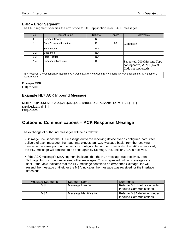### **ERR – Error Segment**

The ERR segment specifies the error code for AR (application reject) ACK messages.

| Seg                                                                                                                                       | <b>Element Name</b>            | Optional  | Length | Comments                                                                              |  |
|-------------------------------------------------------------------------------------------------------------------------------------------|--------------------------------|-----------|--------|---------------------------------------------------------------------------------------|--|
| $\Omega$                                                                                                                                  | Segment Header                 | R         | 3      |                                                                                       |  |
|                                                                                                                                           | <b>Error Code and Location</b> | R         | 80     | Composite                                                                             |  |
| 1.1                                                                                                                                       | Segment ID                     | <b>NU</b> |        |                                                                                       |  |
| 1.2                                                                                                                                       | Sequence                       | <b>NU</b> |        |                                                                                       |  |
| 1.3                                                                                                                                       | <b>Field Position</b>          | <b>NU</b> |        |                                                                                       |  |
| 1.4                                                                                                                                       | Code identifying error         | R         |        | Supported: 200 (Message Type)<br>not supported) $& 201$ (Event<br>Code not supported) |  |
| $R =$ Required, C = Conditionally Required, O = Optional, NU = Not Used, N = Numeric, AN = Alpha/Numeric, ID = Segment<br>Ildentification |                                |           |        |                                                                                       |  |

### Example ERR:

ERR|^^^200

### **Example HL7 ACK Inbound Message**

MSH|^~\&|PICOM365|55555|AML|AML|20131018143140||ACK^A04|12874|T|2.4|||||||| MSA|AR|12874||||| ERR|^^^200

# **Outbound Communications – ACK Response Message**

The exchange of outbound messages will be as follows:

• ScImage, Inc. sends the HL7 message out to the receiving device over a configured port. After delivery of each message, ScImage, Inc. expects an ACK Message back from the receiving device on the same port number within a configurable number of seconds. If no ACK is received, the HL7 message will continue to be sent again by ScImage, Inc. until an ACK is received.

• If the ACK message's MSA segment indicates that the HL7 message was received, then ScImage, Inc. will continue to send other messages. This is repeated until all messages are sent. If the MSA indicates that the HL7 message contained an error, then ScImage, Inc will resend the message until either the MSA indicates the message was received, or the interface times out.

| Message Segments | Segment Name           | Comments                      |
|------------------|------------------------|-------------------------------|
| <b>MSH</b>       | Message Header         | Refer to MSH definition under |
|                  |                        | Inbound Communications.       |
| <b>MSA</b>       | Message Identification | Refer to MSA definition under |
|                  |                        | Inbound Communications.       |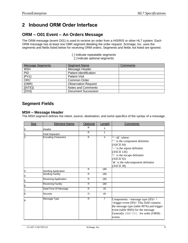# **2 Inbound ORM Order Interface**

### **ORM – O01 Event – An Orders Message**

The ORM message (event O01) is used to receive an order from a HIS/RIS or other HL7 system. Each ORM message has at least one OBR segment detailing the order request. ScImage, Inc. uses the segments and fields listed below for receiving ORM orders. Segments and fields not listed are ignored.

{ } Indicate repeatable segments

[] Indicate optional segments

| <b>Message Segments</b> | Segment Name               | Comments |
|-------------------------|----------------------------|----------|
| <b>MSH</b>              | Message Header             |          |
| <b>PID</b>              | Patient Identification     |          |
| [PV1]                   | <b>Patient Visit</b>       |          |
| ORC                     | Common Order               |          |
| $\{OBR\}$               | <b>Observation Request</b> |          |
| $[\{NTE\}]$             | Notes and Comments         |          |
| [ZDS]                   | Document Succession        |          |

### **Segment Fields**

### **MSH – Message Header**

The MSH segment defines the intent, source, destination, and some specifics of the syntax of a message.

| Seq            | <b>Element Name</b>        | Optional       | Length         | Comments                                                                                                                                                                                                                                                |
|----------------|----------------------------|----------------|----------------|---------------------------------------------------------------------------------------------------------------------------------------------------------------------------------------------------------------------------------------------------------|
| 0              | Header                     | R              | 3              |                                                                                                                                                                                                                                                         |
| l1             | <b>Field Separator</b>     | $\mathsf{R}$   | 1              |                                                                                                                                                                                                                                                         |
| $\overline{2}$ | <b>Encoding Characters</b> | $\overline{R}$ | $\overline{4}$ | $\land \land \lor \lor$ where:<br>$\cdots$ is the component delimiter<br>(ASCII 94)<br>$\sim$ is the repeat delimiter<br>(ASCII 126)<br>'\' is the escape delimiter<br>(ASCII 92)<br>$\&$ is the subcomponent delimiter<br>(ASCII 38)                   |
| 3              | <b>Sending Application</b> | R              | 180            |                                                                                                                                                                                                                                                         |
|                | <b>Sending Facility</b>    | R              | 180            |                                                                                                                                                                                                                                                         |
| 5              | Receiving Application      | R              | 180            |                                                                                                                                                                                                                                                         |
| 6              | <b>Receiving Facility</b>  | $\overline{R}$ | 180            |                                                                                                                                                                                                                                                         |
| 7              | Date/Time Of Message       | R              | 26             |                                                                                                                                                                                                                                                         |
| 8              | Security                   | O              | 40             |                                                                                                                                                                                                                                                         |
| 9              | Message Type               | $\overline{R}$ | $\overline{7}$ | Components: $\langle$ message type (ID) $\rangle$ ^<br><trigger (id)="" event=""> This field contains<br/>the message type (table 0076) and trigger<br/>event (table 0003) for the message.<br/>Generally ORM^O01 for order (ORM)<br/>events.</trigger> |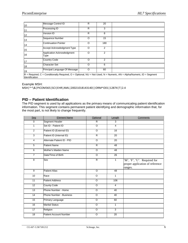| 10                                                                                                                                       | Message Control ID                 | R       | 20  |  |  |
|------------------------------------------------------------------------------------------------------------------------------------------|------------------------------------|---------|-----|--|--|
| 11                                                                                                                                       | Processing ID                      | R       | 3   |  |  |
| 12                                                                                                                                       | Version ID                         | R       | 8   |  |  |
| 13                                                                                                                                       | Sequence Number                    | O       | 15  |  |  |
| 14                                                                                                                                       | <b>Continuation Pointer</b>        | O       | 180 |  |  |
| 15                                                                                                                                       | <b>Accept Acknowledgment Type</b>  | $\circ$ | 2   |  |  |
| 16                                                                                                                                       | Application Acknowledgment<br>Type | $\circ$ | 2   |  |  |
| 17                                                                                                                                       | <b>Country Code</b>                | O       | 2   |  |  |
| 18                                                                                                                                       | Character Set                      | $\circ$ | 6   |  |  |
| 19                                                                                                                                       | Principal Language Of Message      | $\circ$ | 60  |  |  |
| $R =$ Required, C = Conditionally Required, O = Optional, NU = Not Used, N = Numeric, AN = Alpha/Numeric, ID = Segment<br>Identification |                                    |         |     |  |  |

Example MSH:

MSH|^~\&|PICOM365|SCI|EHR|AML|20021018143140||ORM^O01|12874|T|2.4

### **PID – Patient Identification**

The PID segment is used by all applications as the primary means of communicating patient identification information. This segment contains permanent patient identifying and demographic information that, for the most part, is not likely to change frequently.

| Seg             | <b>Element Name</b>           | Optional           | Length          | Comments                                                                  |
|-----------------|-------------------------------|--------------------|-----------------|---------------------------------------------------------------------------|
| $\mathbf 0$     | Segment Header                | R                  | 3               |                                                                           |
| $\mathbf{1}$    | Set ID - Patient ID           | $\overline{\circ}$ | $\overline{4}$  |                                                                           |
| 2               | Patient ID (External ID)      | $\circ$            | 16              |                                                                           |
| 3               | Patient ID (Internal ID)      | $\overline{R}$     | $\overline{20}$ |                                                                           |
| $\overline{4}$  | Alternate Patient ID - PID    | $\overline{O}$     | 20              |                                                                           |
| 5               | <b>Patient Name</b>           | $\overline{R}$     | 48              |                                                                           |
| 6               | Mother's Maiden Name          | O                  | 48              |                                                                           |
| $\overline{7}$  | Date/Time of Birth            | $\overline{\circ}$ | 26              |                                                                           |
| 8               | <b>Sex</b>                    | R                  | $\mathbf{1}$    | 'M', 'F', 'U'. Required for<br>proper application of reference<br>ranges. |
| $\overline{9}$  | <b>Patient Alias</b>          | $\overline{\circ}$ | 48              |                                                                           |
| 10              | Race                          | $\circ$            | $\mathbf{1}$    |                                                                           |
| 11              | <b>Patient Address</b>        | $\circ$            | 106             |                                                                           |
| $\overline{12}$ | <b>County Code</b>            | $\overline{\circ}$ | $\overline{4}$  |                                                                           |
| 13              | Phone Number - Home           | $\overline{O}$     | 40              |                                                                           |
| 14              | Phone Number - Business       | $\circ$            | 40              |                                                                           |
| $\overline{15}$ | Primary Language              | $\overline{O}$     | 60              |                                                                           |
| 16              | <b>Marital Status</b>         | $\overline{\circ}$ | 1               |                                                                           |
| $\overline{17}$ | Religion                      | $\overline{O}$     | 3               |                                                                           |
| 18              | <b>Patient Account Number</b> | O                  | 20              |                                                                           |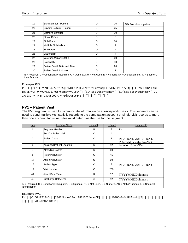| 19             | <b>SSN Number - Patient</b>                                                                                            | O       | 16             | SSN Number - patient |
|----------------|------------------------------------------------------------------------------------------------------------------------|---------|----------------|----------------------|
| 20             | Driver's Lic Num - Patient                                                                                             | O       | 25             |                      |
| 21             | Mother's Identifier                                                                                                    | $\circ$ | 20             |                      |
| 22             | <b>Ethnic Group</b>                                                                                                    | O       | 3              |                      |
| 23             | <b>Birth Place</b>                                                                                                     | O       | 60             |                      |
| 24             | Multiple Birth Indicator                                                                                               | O       | 2              |                      |
| 25             | <b>Birth Order</b>                                                                                                     | $\circ$ | $\overline{2}$ |                      |
| 26             | Citizenship                                                                                                            | O       | 4              |                      |
| 27             | <b>Veterans Military Status</b>                                                                                        | O       | 60             |                      |
| 28             | Nationality                                                                                                            | O       | 80             |                      |
| 29             | Patient Death Date and Time                                                                                            | O       | 26             |                      |
| 30             | <b>Patient Death Indicator</b>                                                                                         | O       |                |                      |
| Identification | $R =$ Required, C = Conditionally Required, O = Optional, NU = Not Used, N = Numeric, AN = Alpha/Numeric, ID = Segment |         |                |                      |

Example PID:

PID|1||747638^^^D964655^^^A||PATIENT^TEST^L^^^^Current|GERSTIN|19570503|F||1|89Y RAINY LAKE DRIVE^^CITY^MO^63017^US^home^MO189^""||(314)555-0555^Home^""|(314)555-5555^Business^""|CD-273230|M|MET|0309500077^^^D|500506341|||""||||""|""|""||""

### **PV1 – Patient Visit**

The PV1 segment is used to communicate information on a visit-specific basis. This segment can be used to send multiple-visit statistic records to the same patient account or single-visit records to more than one account. Individual sites must determine the use for this segment.

| Seg                                                                                                                                      | <b>Element Name</b>              | Optional | Length            | Comments                                             |  |  |  |
|------------------------------------------------------------------------------------------------------------------------------------------|----------------------------------|----------|-------------------|------------------------------------------------------|--|--|--|
| $\Omega$                                                                                                                                 | Segment Header                   | R        | 3                 | PV <sub>1</sub>                                      |  |  |  |
|                                                                                                                                          | Set ID - Patient Visit           | O        | 4                 |                                                      |  |  |  |
| $\overline{2}$                                                                                                                           | <b>Patient Class</b>             | O        |                   | <b>INPATIENT, OUTPATIENT,</b><br>PREADMIT, EMERGENCY |  |  |  |
| 3                                                                                                                                        | <b>Assigned Patient Location</b> | R        | 12 <sup>2</sup>   | Location^Room^Bed                                    |  |  |  |
| 7                                                                                                                                        | <b>Attending Doctor</b>          | R        | 60                |                                                      |  |  |  |
| 8                                                                                                                                        | <b>Referring Doctor</b>          | O        | 45                |                                                      |  |  |  |
| 17                                                                                                                                       | <b>Admitting Doctor</b>          | O        | 60                |                                                      |  |  |  |
| 18                                                                                                                                       | <b>Patient Type</b>              | O        | 3                 | <b>INPATIENT, OUTPATIENT</b>                         |  |  |  |
| 19                                                                                                                                       | <b>Visit Number</b>              | $\circ$  | 250               |                                                      |  |  |  |
| 44                                                                                                                                       | <b>Admit Date/Time</b>           | R        | $12 \overline{ }$ | <b>YYYYMMDDhhmmss</b>                                |  |  |  |
| 45                                                                                                                                       | Discharge Date/Time              | C        | 12 <sup>°</sup>   | <b>YYYYMMDDhhmmss</b>                                |  |  |  |
| $R =$ Required, C = Conditionally Required, O = Optional, NU = Not Used, N = Numeric, AN = Alpha/Numeric, ID = Segment<br>Identification |                                  |          |                   |                                                      |  |  |  |

Example PV1:

PV1|1|O|OP^8713^D||||2342^Jones^Bob|18110^S^Alan^R|||||||||10900^F^MARIAH^A||2|||||||||||||||| |||||||||20060307110111|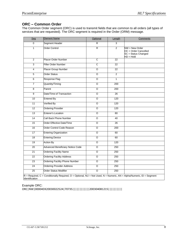### **ORC – Common Order**

The Common Order segment (ORC) is used to transmit fields that are common to all orders (all types of services that are requested). The ORC segment is required in the Order (ORM) message.

| Seg             | <b>Element Name</b>                                                                                                    | Optional           | Length         | Comments                                                                       |  |  |  |  |
|-----------------|------------------------------------------------------------------------------------------------------------------------|--------------------|----------------|--------------------------------------------------------------------------------|--|--|--|--|
| 0               | Segment Header                                                                                                         | R.                 | 3              |                                                                                |  |  |  |  |
| $\mathbf{1}$    | <b>Order Control</b>                                                                                                   | $\overline{R}$     | $\overline{2}$ | $NW = New Order$<br>OC = Order Cancelled<br>SC = Status Changed<br>$HD = Hold$ |  |  |  |  |
| $\overline{2}$  | <b>Placer Order Number</b>                                                                                             | C                  | 22             |                                                                                |  |  |  |  |
| $\overline{3}$  | Filler Order Number                                                                                                    | $\overline{c}$     | 22             |                                                                                |  |  |  |  |
| $\overline{4}$  | <b>Placer Group Number</b>                                                                                             | $\overline{\circ}$ | 22             |                                                                                |  |  |  |  |
| 5               | <b>Order Status</b>                                                                                                    | $\overline{\circ}$ | $\overline{2}$ |                                                                                |  |  |  |  |
| $6\overline{6}$ | Response Flag                                                                                                          | $\overline{0}$     | $\mathbf{1}$   |                                                                                |  |  |  |  |
| $\overline{7}$  | Quantity/Timing                                                                                                        | $\overline{\circ}$ | 200            |                                                                                |  |  |  |  |
| $\overline{8}$  | Parent                                                                                                                 | $\overline{\circ}$ | 200            |                                                                                |  |  |  |  |
| 9               | Date/Time of Transaction                                                                                               | O                  | 26             |                                                                                |  |  |  |  |
| 10              | <b>Entered By</b>                                                                                                      | O                  | 120            |                                                                                |  |  |  |  |
| 11              | Verified By                                                                                                            | $\overline{\circ}$ | 120            |                                                                                |  |  |  |  |
| $\overline{12}$ | <b>Ordering Provider</b>                                                                                               | $\overline{\circ}$ | 120            |                                                                                |  |  |  |  |
| 13              | <b>Enterer's Location</b>                                                                                              | $\overline{\circ}$ | 80             |                                                                                |  |  |  |  |
| 14              | Call Back Phone Number                                                                                                 | $\circ$            | 40             |                                                                                |  |  |  |  |
| 15              | Order Effective Date/Time                                                                                              | $\overline{\circ}$ | 26             |                                                                                |  |  |  |  |
| 16              | Order Control Code Reason                                                                                              | $\overline{O}$     | 200            |                                                                                |  |  |  |  |
| $\overline{17}$ | <b>Entering Organization</b>                                                                                           | $\overline{O}$     | 60             |                                                                                |  |  |  |  |
| $\overline{18}$ | <b>Entering Device</b>                                                                                                 | $\overline{\circ}$ | 60             |                                                                                |  |  |  |  |
| 19              | <b>Action By</b>                                                                                                       | $\overline{\circ}$ | 120            |                                                                                |  |  |  |  |
| $\overline{20}$ | <b>Advanced Beneficiary Notice Code</b>                                                                                | $\overline{O}$     | 250            |                                                                                |  |  |  |  |
| $\overline{21}$ | <b>Ordering Facility Name</b>                                                                                          | $\overline{O}$     | 250            |                                                                                |  |  |  |  |
| 22              | <b>Ordering Facility Address</b>                                                                                       | $\overline{O}$     | 250            |                                                                                |  |  |  |  |
| $\overline{23}$ | <b>Ordering Facility Phone Number</b>                                                                                  | $\overline{\circ}$ | 250            |                                                                                |  |  |  |  |
| 24              | <b>Ordering Provider Address</b>                                                                                       | $\overline{O}$     | 250            |                                                                                |  |  |  |  |
| 25              | <b>Order Status Modifier</b>                                                                                           | $\overline{\circ}$ | 250            |                                                                                |  |  |  |  |
| Identification  | $R =$ Required, C = Conditionally Required, O = Optional, NU = Not Used, N = Numeric, AN = Alpha/Numeric, ID = Segment |                    |                |                                                                                |  |  |  |  |

### Example ORC: ORC|NW|00004DX20030022524|70735||||||||||||200304081215||||||||||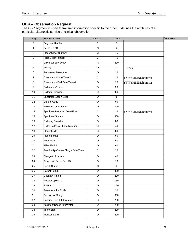### **OBR – Observation Request**

The OBR segment is used to transmit information specific to the order. It defines the attributes of a particular diagnostic service or clinical observation

| Seg             | <b>Element Name</b>                 | Optional                | Length          |                       | Comments |
|-----------------|-------------------------------------|-------------------------|-----------------|-----------------------|----------|
| 0               | Segment Header                      | R                       | 3               |                       |          |
| $\mathbf{1}$    | Set ID - OBR                        | $\overline{C}$          | $\overline{4}$  |                       |          |
| $\overline{2}$  | Placer Order Number                 | $\overline{\mathsf{C}}$ | $\overline{75}$ |                       |          |
| 3               | Filler Order Number                 | $\overline{c}$          | $\overline{75}$ |                       |          |
| 4               | <b>Universal Service ID</b>         | $\overline{R}$          | 200             |                       |          |
| $\overline{5}$  | Priority                            | $\overline{\circ}$      | $\overline{2}$  | 'S'=Stat              |          |
| 6               | Requested Date/time                 | $\overline{O}$          | 26              |                       |          |
| $\overline{7}$  | Observation Date/Time #             | C                       | 26              | <b>YYYYMMDDhhmmss</b> |          |
| 8               | Observation End Date/Time #         | $\overline{\circ}$      | $\overline{26}$ | <b>YYYYMMDDhhmmss</b> |          |
| $\overline{9}$  | <b>Collection Volume</b>            | $\overline{O}$          | $\overline{20}$ |                       |          |
| 10              | Collector Identifier                | $\overline{O}$          | 60              |                       |          |
| 11              | Specimen Action Code                | $\overline{0}$          | $\mathbf{1}$    |                       |          |
| 12              | Danger Code                         | $\overline{O}$          | 60              |                       |          |
| 13              | Relevant Clinical Info.             | $\overline{O}$          | 300             |                       |          |
| 14              | Specimen Received Date/Time         | $\overline{\mathsf{c}}$ | 26              | <b>YYYYMMDDhhmmss</b> |          |
| 15              | Specimen Source                     | $\overline{O}$          | 300             |                       |          |
| 16              | <b>Ordering Provider</b>            | $\overline{0}$          | 80              |                       |          |
| 17              | Order Callback Phone Number         | $\overline{O}$          | 40              |                       |          |
| 18              | Placer field 1                      | $\mathsf O$             | 60              |                       |          |
| 19              | Placer field 2                      | $\overline{O}$          | 60              |                       |          |
| 20              | Filler Field 1                      | $\overline{O}$          | 60              |                       |          |
| 21              | Filler Field 2                      | $\overline{0}$          | 60              |                       |          |
| $\overline{22}$ | Results Rpt/Status Chng - Date/Time | $\overline{c}$          | $\overline{26}$ |                       |          |
| 23              | Charge to Practice                  | $\overline{O}$          | 40              |                       |          |
| 24              | Diagnostic Serve Sect ID            | $\overline{O}$          | 10              |                       |          |
| 25              | <b>Result Status</b>                | C                       | $\overline{1}$  |                       |          |
| 26              | <b>Parent Result</b>                | $\overline{O}$          | 400             |                       |          |
| $\overline{27}$ | Quantity/Timing                     | O                       | 200             |                       |          |
| 28              | <b>Result Copies To</b>             | $\overline{O}$          | 150             |                       |          |
| 29              | Parent                              | $\overline{O}$          | 150             |                       |          |
| 30              | <b>Transportation Mode</b>          | $\overline{O}$          | 20              |                       |          |
| 31              | Reason for Study                    | $\overline{O}$          | 300             |                       |          |
| 32              | Principal Result Interpreter        | $\overline{O}$          | 200             |                       |          |
| 33              | <b>Assistant Result Interpreter</b> | $\overline{O}$          | 200             |                       |          |
| 34              | Technician                          | $\overline{O}$          | 200             |                       |          |
| 35              | Transcriptionist                    | $\overline{O}$          | 200             |                       |          |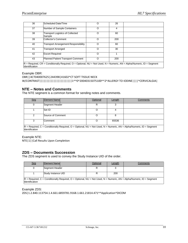| 36                                                                                                                                             | Scheduled Date/Time                               | O | 26  |  |  |
|------------------------------------------------------------------------------------------------------------------------------------------------|---------------------------------------------------|---|-----|--|--|
| 37                                                                                                                                             | Number of Sample Containers                       | O | 4   |  |  |
| 38                                                                                                                                             | <b>Transport Logistics of Collected</b><br>Sample | Ω | 60  |  |  |
| 39                                                                                                                                             | Collector's Comment                               | Ω | 200 |  |  |
| 40                                                                                                                                             | <b>Transport Arrangement Responsibility</b>       | റ | 60  |  |  |
| 41                                                                                                                                             | Transport Arranged                                | Ω | 30  |  |  |
| 42                                                                                                                                             | <b>Escort Required</b>                            | റ |     |  |  |
| 43                                                                                                                                             | <b>Planned Patient Transport Comment</b>          | Ω | 200 |  |  |
| R = Required, CR = Conditionally Required, O = Optional, NU = Not Used, N = Numeric, AN = Alpha/Numeric, ID = Segment<br><b>Identification</b> |                                                   |   |     |  |  |

#### Example OBR:

OBR||4CT040007625|244398|41602^CT SOFT TISSUE NECK W/CONTRAST|||||||||||||||||||||||1^^0^20040315075100^^2^ALLERGY TO IODINE||||^CERVICALGIA|

### **NTE – Notes and Comments**

The NTE segment is a common format for sending notes and comments.

| Seg                                                                                                                                      | <b>Element Name</b> | Optional | Length | Comments |  |  |
|------------------------------------------------------------------------------------------------------------------------------------------|---------------------|----------|--------|----------|--|--|
| 0                                                                                                                                        | Segment Header      | R        | 3      |          |  |  |
|                                                                                                                                          | Set ID              |          |        |          |  |  |
| $\mathcal{P}$                                                                                                                            | Source of Comment   | Ω        | 8      |          |  |  |
| 3                                                                                                                                        | <b>Comment</b>      |          | 65536  |          |  |  |
| $R =$ Required, C = Conditionally Required, O = Optional, NU = Not Used, N = Numeric, AN = Alpha/Numeric, ID = Segment<br>Identification |                     |          |        |          |  |  |

#### Example NTE:

NTE|1||Call Results Upon Completion

### **ZDS – Documents Succession**

The ZDS segment is used to convey the Study Instance UID of the order.

| Seg                                                                                                                                               | <b>Element Name</b> | Optional | Length | Comments |  |
|---------------------------------------------------------------------------------------------------------------------------------------------------|---------------------|----------|--------|----------|--|
|                                                                                                                                                   | Segment Header      |          |        |          |  |
|                                                                                                                                                   | Study Instance UID  |          | 200    |          |  |
| $\mathsf{R}$ = Required, C = Conditionally Required, O = Optional, NU = Not Used, N = Numeric, AN = Alpha/Numeric, ID = Segment<br>Identification |                     |          |        |          |  |

Example ZDS: ZDS|1.2.840.113754.1.4.661.6859781.9168.1.661.21814.471^^Application^DICOM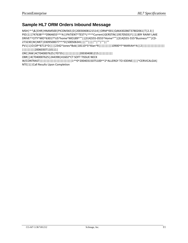# **Sample HL7 ORM Orders Inbound Message**

MSH|^~\&|EHR|HNAM500|PICOM365|D|20030408121514||ORM^001|Q46430286T37802061|T|2.3|| PID|1||747638^^^D964655^^^A||PATIENT^TEST^L^^^^Current|GERSTIN|19570503|F||1|89Y RAINY LAKE DRIVE^^CITY^MO^63017^US^home^MO189^""||(314)555-0555^Home^""|(314)555-555^Business^""|CD-273230|M|MET|0309500077^^^D|500506341|||""||||""|""|""||"" PV1|1|O|OP^8713^D||||2342^Jones^Bob|18110^S^Alan^R|||||||||10900^F^MARIAH^A||2|||||||||||||||| |||||||||20060307110111| ORC|NW|4CT040007625|70735||||||||||||200304081215|||||||||| OBR||4CT040007625|244398|41602^CT SOFT TISSUE NECK W/CONTRAST|||||||||||||||||||||||1^^0^20040315075100^^2^ALLERGY TO IODINE||||^CERVICALGIA| NTE|1||Call Results Upon Completion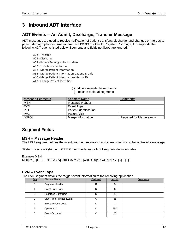# **3 Inbound ADT Interface**

### **ADT Events – An Admit, Discharge, Transfer Message**

ADT messages are used to receive notification of patient transfers, discharge, and changes or merges to patient demographics information from a HIS/RIS or other HL7 system. ScImage, Inc. supports the following ADT events listed below. Segments and fields not listed are ignored.

- A02 Transfer
- A03 Discharge
- A08 Patient Demographics Update
- A12 Transfer Cancellation
- A18 Merge Patient Information
- A34 Merge Patient Information-patient ID only
- A40 Merge Patient Information-internal ID
- A47 Change Patient Identifier

#### { } Indicate repeatable segments

[] Indicate optional segments

| Message Segments | <b>Segment Name</b>    | Comments                  |
|------------------|------------------------|---------------------------|
| <b>MSH</b>       | Message Header         |                           |
| <b>EVN</b>       | Event Type             |                           |
| <b>PID</b>       | Patient Identification |                           |
| PV1              | <b>Patient Visit</b>   |                           |
| [MRG]            | Merge Information      | Required for Merge events |

# **Segment Fields**

### **MSH – Message Header**

The MSH segment defines the intent, source, destination, and some specifics of the syntax of a message.

\*Refer to section 2 (Inbound ORM Order Interface) for MSH segment definition table.

```
Example MSH:
```
MSH|^~\&|EHR| | PICOM365||201308221728||ADT^A08|1817457|P|2.7||3|||||||

### **EVN – Event Type**

The EVN segment details the trigger event information to the receiving application.

| Seg | <b>Element Name</b>       | Optional | Length | Comments |
|-----|---------------------------|----------|--------|----------|
|     | Segment Header            | R        | 3      |          |
|     | Event Type Code           | R        | 3      |          |
| 2   | <b>Recorded Date/Time</b> | R        | 26     |          |
| 3   | Date/Time Planned Event   | O        | 26     |          |
| 4   | Event Reason Code         | Ω        | 3      |          |
| 5   | Operator ID               | O        | 250    |          |
| 6   | <b>Event Occurred</b>     | O        | 26     |          |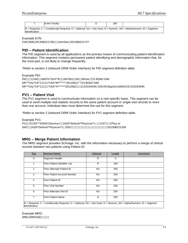|                                                                                                                                  | <b>Event Facility</b> |  | 180 |  |  |
|----------------------------------------------------------------------------------------------------------------------------------|-----------------------|--|-----|--|--|
| $\mathsf{IR}$ = Required, C = Conditionally Required, O = Optional, NU = Not Used, N = Numeric, AN = Alpha/Numeric, ID = Segment |                       |  |     |  |  |
| Identification                                                                                                                   |                       |  |     |  |  |

Example EVN:

EVN|A08|201308221728|||JohnDoe|201308221727

### **PID – Patient Identification**

The PID segment is used by all applications as the primary means of communicating patient identification information. This segment contains permanent patient identifying and demographic information that, for the most part, is not likely to change frequently.

\*Refer to section 2 (Inbound ORM Order Interface) for PID segment definition table.

Example PID: PID|||12345||SMITH^GUY^R||19470411|M||White|723 ROAD OAK DR^^City^CA^11111^USA^M^^^^^20120621~723 ROAD OAK DR^^City^CA^11111^USA^H^^^^^20120621||2133334444||EN|M|Baptist|6665553|333224444

### **PV1 – Patient Visit**

The PV1 segment is used to communicate information on a visit-specific basis. This segment can be used to send multiple-visit statistic records to the same patient account or single-visit records to more than one account. Individual sites must determine the use for this segment.

\*Refer to section 2 (Inbound ORM Order Interface) for PV1 segment definition table.

Example PV1: PV1||O|3G^^34503|Elective|||1620^Default^Physician^L.|||CAT||||Phys or Self|||1620^Default^Physician^L.|SDS||||||||||||||||||||||||||201308221330

### **MRG – Merge Patient Information**

The MRG segment provides ScImage, Inc. with the information necessary to perform a merge of clinical records between two patients using Patient ID.

| Seg                                                                                                                                             | <b>Element Name</b>                  | Optional  | Length | Comments |  |
|-------------------------------------------------------------------------------------------------------------------------------------------------|--------------------------------------|-----------|--------|----------|--|
| 0                                                                                                                                               | Segment Header                       | R         | 3      |          |  |
|                                                                                                                                                 | <b>Prior Patient Identifier List</b> | R         | 250    |          |  |
| 2                                                                                                                                               | <b>Prior Alternate Patient ID</b>    | <b>NU</b> | 250    |          |  |
| 3                                                                                                                                               | <b>Prior Patient Account Number</b>  | <b>NU</b> | 250    |          |  |
| 4                                                                                                                                               | <b>Prior Patient ID</b>              | <b>NU</b> | 250    |          |  |
| 5                                                                                                                                               | <b>Prior Visit Number</b>            | <b>NU</b> | 250    |          |  |
| 6                                                                                                                                               | <b>Prior Alternate Visit ID</b>      | <b>NU</b> | 250    |          |  |
| 7                                                                                                                                               | <b>Prior Patient Name</b>            | O         | 250    |          |  |
| $R =$ Required, C = Conditionally Required, O = Optional, NU = Not Used, N = Numeric, AN = Alpha/Numeric, ID = Segment<br><b>Identification</b> |                                      |           |        |          |  |

Example MRG: MRG|8992560||||||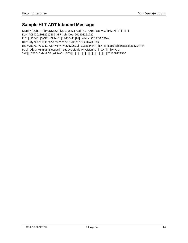# **Sample HL7 ADT Inbound Message**

MSH|^~\&|EHR||PICOM365||201308221728||ADT^A08|1817457|P|2.7||3||||||| EVN|A08|201308221728||XFR|JohnDoe|201308221727 PID|||12345||SMITH^GUY^R||19470411|M||White|723 ROAD OAK DR^^City^CA^11111^USA^M^^^^^20120621~723 ROAD OAK DR^^City^CA^11111^USA^H^^^^^20120621||2133334444||EN|M|Baptist|6665553|333224444 PV1||O|3G^^34503|Elective|||1620^Default^Physician^L.|||CAT||||Phys or Self|||1620^Default^Physician^L.|SDS||||||||||||||||||||||||||201308221330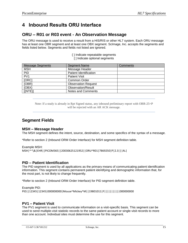# **4 Inbound Results ORU Interface**

### **ORU – R01 or R03 event - An Observation Message**

The ORU message is used to receive a result from a HIS/RIS or other HL7 system. Each ORU message has at least one OBR segment and at least one OBX segment. ScImage, Inc. accepts the segments and fields listed below. Segments and fields not listed are ignored.

|  |  |  | { } Indicate repeatable segments |  |
|--|--|--|----------------------------------|--|
|--|--|--|----------------------------------|--|

[] Indicate optional segments

| <b>Message Segments</b> | <b>Segment Name</b>        | Comments |
|-------------------------|----------------------------|----------|
| <b>MSH</b>              | Message Header             |          |
| <b>PID</b>              | Patient Identification     |          |
| PV1                     | <b>Patient Visit</b>       |          |
| [ORC]                   | Common Order               |          |
| $\{OBR\}$               | <b>Observation Request</b> |          |
| $\{OBX\}$               | <b>Observation/Result</b>  |          |
| $[\{NTE\}]$             | Notes and Comments         |          |

Note: If a study is already in Rpt Signed status, any inbound preliminary report with OBR-25=P will be rejected with an AR ACK message.

# **Segment Fields**

### **MSH – Message Header**

The MSH segment defines the intent, source, destination, and some specifics of the syntax of a message.

\*Refer to section 2 (Inbound ORM Order Interface) for MSH segment definition table.

```
Example MSH:
MSH|^~\&|EHR||PICOM365||20030625121952||ORU^R01|7869250|P|2.3|||AL|
```
### **PID – Patient Identification**

The PID segment is used by all applications as the primary means of communicating patient identification information. This segment contains permanent patient identifying and demographic information that, for the most part, is not likely to change frequently.

\*Refer to section 2 (Inbound ORM Order Interface) for PID segment definition table.

Example PID: PID||12345|12345|000000000|Mouse^Mickey^M||19801011|F|||||||||||000000000

### **PV1 – Patient Visit**

The PV1 segment is used to communicate information on a visit-specific basis. This segment can be used to send multiple-visit statistic records to the same patient account or single-visit records to more than one account. Individual sites must determine the use for this segment.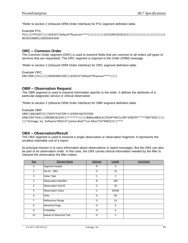\*Refer to section 2 (Inbound ORM Order Interface) for PV1 segment definition table.

Example PV1: PV1||I|^PTLOC^||||654321^Default^Physician^^^^|||||||||||012328329102312|||||||||||||||||||||||||||| 00105100802|200203031642

### **ORC – Common Order**

The Common Order segment (ORC) is used to transmit fields that are common to all orders (all types of services that are requested). The ORC segment is required in the Order (ORM) message.

\*Refer to section 2 (Inbound ORM Order Interface) for ORC segment definition table.

Example ORC:

ORC|NW||25||||||200203061205|||654321^Default^Physician^^^^|||||

### **OBR – Observation Request**

The OBR segment is used to transmit information specific to the order. It defines the attributes of a particular diagnostic service or clinical observation

\*Refer to section 2 (Inbound ORM Order Interface) for OBR segment definition table.

Example OBR:

OBR||306180572||73075^FACTOR V LEIDEN MUTATION ANALYSIS^HLA|||200306181234|||^^^^^^^|||||1&Blood&HLA|23104^MCCLURE^JOSEPH^""^^^MD^DOC||||| |||^ScImage, Inc. Software^4916 El Camino Real^^Los Altos^CA^94022|F||^^^^

### **OBX – Observation/Result**

The OBX segment is used to transmit a single observation or observation fragment. It represents the smallest indivisible unit of a report.

Its principal mission is to carry information about observations in report messages. But the OBX can also be part of an observation order. In this case, the OBX carries clinical information needed by the filler to interpret the observation the filler makes.

| Seg         | <b>Element Name</b>           | Optional     | Length | Comments |
|-------------|-------------------------------|--------------|--------|----------|
| $\mathbf 0$ | Segment Header                | $\mathsf{R}$ | 3      |          |
| 1           | Set ID - OBX                  | O            | 10     |          |
| 2           | Value Type                    | C            | 2      |          |
| 3           | <b>Observation Identifier</b> | R            | 590    |          |
| 4           | <b>Observation Sub-ID</b>     | C            | 20     |          |
| 5           | <b>Observation Value</b>      | C            | 65536  |          |
| 6           | <b>Units</b>                  | O            | 60     |          |
| 7           | References Range              | O            | 10     |          |
| 8           | Abnormal Flags                | O            | 5      |          |
| 9           | Probability                   | O            | 5      |          |
| 10          | Nature of Abnormal Test       | O            | 2      |          |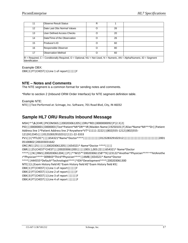|                                                                                                                                           | <b>Observe Result Status</b> | R |    |  |  |  |
|-------------------------------------------------------------------------------------------------------------------------------------------|------------------------------|---|----|--|--|--|
| 12 <sup>2</sup>                                                                                                                           | Date Last Obs Normal Values  |   | 26 |  |  |  |
| 13                                                                                                                                        | User Defined Access Checks   |   | 20 |  |  |  |
| 14                                                                                                                                        | Date/Time of the Observation |   | 26 |  |  |  |
| 15                                                                                                                                        | Producer's ID                |   | 60 |  |  |  |
| 16                                                                                                                                        | Responsible Observer         |   | 80 |  |  |  |
| 17                                                                                                                                        | <b>Observation Method</b>    | O | 60 |  |  |  |
| $ R =$ Required, C = Conditionally Required, O = Optional, NU = Not Used, N = Numeric, AN = Alpha/Numeric, ID = Segment<br>Identification |                              |   |    |  |  |  |

Example OBX:

OBX|1|FT|CHEST|1|Line 1 of report||||||F

### **NTE – Notes and Comments**

The NTE segment is a common format for sending notes and comments.

\*Refer to section 2 (Inbound ORM Order Interface) for NTE segment definition table.

Example NTE: NTE|||Test Performed at: ScImage, Inc. Software, 701 Road Blvd, City, IN 46032

# **Sample HL7 ORU Results Inbound Message**

MSH|^~\&|EHR||PICOM365||200203061205||ORU^R01|0000000092|P|2.3|2| PID|||00000001|D000003|Test^Patient^MI^DR^^JR|Maiden Name|19250101|F|Alias^Name^MI^^^Dr||Patient Address line 1^Patient Address line 2^Anywhere^VT^11111-2222||(802)555-1212|(802)555- 1212X12345||||012328329102312|111-22-3333 PV1||I|^PTLOC^||||654321^Name^Doctor^^^^||||||||||||012328329102312|||||||||||||||||||||||||2001 05100802|200203031642 ORC|RE||25||||||200203061205|||654321^ Name^Doctor ^^^^||||| OBR|||25|CHEST^CHEST|||200203061200||||||003.1,003.22|||654321^ Name^Doctor ^^^^|||N||RM1|200203061204|||P||^^M15\*^200203061158^^9|123122^Another^Physician^^^^~^YetAnothe r^Physician^^^^~309843^Third^Physician^^^^||AMB||654321^ Name^Doctor ^^^^||444555^Default^Technologist^^^^|^IDX^Development^^^^|200203061300 NTE|1|L|Exam History field #1~Exam History field #2~Exam History field #3| OBX|1|FT|CHEST|1|Line 1 of report||||||F OBX|2|FT|CHEST|1|Line 2 of report||||||F OBX|3|FT|CHEST|1|Line 3 of report ||||||F OBX|4|FT|CHEST|1|Line 4 of report ||||||F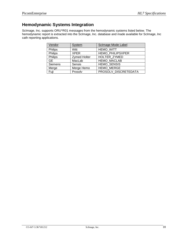# **Hemodynamic Systems Integration**

ScImage, Inc. supports ORU^R01 messages from the hemodynamic systems listed below. The hemodynamic report is extracted into the ScImage, Inc. database and made available for ScImage, Inc cath reporting applications.

| Vendor         | <b>System</b>       | ScImage Mode Label      |
|----------------|---------------------|-------------------------|
| <b>Philips</b> | Witt                | <b>HEMO WITT</b>        |
| Philips        | <b>XPER</b>         | <b>HEMO PHILIPSXPER</b> |
| Philips        | <b>Zymed Holter</b> | HOLTER ZYMED            |
| <b>GE</b>      | MacLab              | <b>HEMO MACLAB</b>      |
| Siemens        | <b>Sensis</b>       | <b>HEMO SENSIS</b>      |
| Merge          | Merge Hemo          | <b>HEMO MERGE</b>       |
| Fuji           | Prosolv             | PROSOLV_DISCRETEDATA    |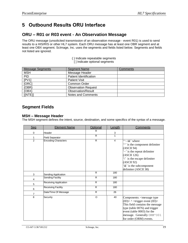# **5 Outbound Results ORU Interface**

### **ORU – R01 or R03 event - An Observation Message**

The ORU message (unsolicited transmission of an observation message - event R01) is used to send results to a HIS/RIS or other HL7 system. Each ORU message has at least one OBR segment and at least one OBX segment. ScImage, Inc. uses the segments and fields listed below. Segments and fields not listed are ignored.

{ } Indicate repeatable segments

[] Indicate optional segments

| Message Segments | Segment Name               | Comments |
|------------------|----------------------------|----------|
| <b>MSH</b>       | Message Header             |          |
| <b>PID</b>       | Patient Identification     |          |
| [PV1]            | <b>Patient Visit</b>       |          |
| [ORC]            | Common Order               |          |
| $\{OBR\}$        | <b>Observation Request</b> |          |
| $\{OBX\}$        | <b>Observation/Result</b>  |          |
| $[\{NTE\}]$      | Notes and Comments         |          |

# **Segment Fields**

### **MSH – Message Header**

The MSH segment defines the intent, source, destination, and some specifics of the syntax of a message.

| Seq            | <b>Element Name</b>          | <b>Optional</b>         | Length         | Comments                                                                                                                                                                                                                                                                                |
|----------------|------------------------------|-------------------------|----------------|-----------------------------------------------------------------------------------------------------------------------------------------------------------------------------------------------------------------------------------------------------------------------------------------|
| 0              | Header                       | R                       | 3              |                                                                                                                                                                                                                                                                                         |
| 1              | <b>Field Separator</b>       | $\overline{\mathsf{R}}$ | 1              |                                                                                                                                                                                                                                                                                         |
| $\overline{2}$ | <b>Encoding Characters</b>   | $\overline{R}$          | $\overline{4}$ | $\left\langle \sim \right\rangle \&$ where<br>" s the component delimiter<br>(ASCII 94)<br>$\sim$ is the repeat delimiter<br>(ASCII 126)<br>$\gamma$ is the escape delimiter<br>(ASCII 92)<br>'&' is the subcomponent<br>delimiter (ASCII 38)                                           |
| 3              | Sending Application          | R                       | 180            |                                                                                                                                                                                                                                                                                         |
| 4              | <b>Sending Facility</b>      | $\overline{R}$          | 180            |                                                                                                                                                                                                                                                                                         |
| 5              | <b>Receiving Application</b> | R                       | 180            |                                                                                                                                                                                                                                                                                         |
| 6              | <b>Receiving Facility</b>    | $\mathsf{R}$            | 180            |                                                                                                                                                                                                                                                                                         |
| 7              | Date/Time Of Message         | $\overline{R}$          | 26             |                                                                                                                                                                                                                                                                                         |
| 8              | Security                     | $\circ$                 | 40             | Components: <message type<br=""><math>(ID)</math> <math>\sim</math> <trigger <math="" event="">(ID)<br/>This field contains the message<br/>type (table 0076) and trigger<br/>event (table 0003) for the<br/>message. Generally ORM^O01<br/>for order (ORM) events.</trigger></message> |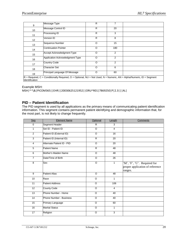| 9              | Message Type                                                                                                           | R        |                |  |
|----------------|------------------------------------------------------------------------------------------------------------------------|----------|----------------|--|
| 10             | Message Control ID                                                                                                     | R        | 20             |  |
| 11             | Processing ID                                                                                                          | R        | 3              |  |
| 12             | Version ID                                                                                                             | R        | 8              |  |
| 13             | Sequence Number                                                                                                        | $\circ$  | 15             |  |
| 14             | <b>Continuation Pointer</b>                                                                                            | $\circ$  | 180            |  |
| 15             | <b>Accept Acknowledgment Type</b>                                                                                      | $\Omega$ | $\overline{2}$ |  |
| 16             | Application Acknowledgment Type                                                                                        | $\circ$  | $\overline{2}$ |  |
| 17             | <b>Country Code</b>                                                                                                    | $\circ$  | $\overline{2}$ |  |
| 18             | <b>Character Set</b>                                                                                                   | $\circ$  | 6              |  |
| 19             | Principal Language Of Message                                                                                          | $\Omega$ | 60             |  |
| Identification | $R =$ Required, C = Conditionally Required, O = Optional, NU = Not Used, N = Numeric, AN = Alpha/Numeric, ID = Segment |          |                |  |

Example MSH:

MSH|^~\&|PICOM365||EHR||20030625121952||ORU^R01|7869250|P|2.3|||AL|

### **PID – Patient Identification**

The PID segment is used by all applications as the primary means of communicating patient identification information. This segment contains permanent patient identifying and demographic information that, for the most part, is not likely to change frequently.

| Seg            | <b>Element Name</b>            | Optional           | Length          | Comments                                                                  |
|----------------|--------------------------------|--------------------|-----------------|---------------------------------------------------------------------------|
| $\mathbf 0$    | Segment Header                 | R                  | 3               |                                                                           |
| $\mathbf{1}$   | Set ID - Patient ID            | $\circ$            | $\overline{4}$  |                                                                           |
| 2              | Patient ID (External ID)       | $\circ$            | 16              |                                                                           |
| 3              | Patient ID (Internal ID)       | $\overline{R}$     | 20              |                                                                           |
| 4              | Alternate Patient ID - PID     | $\overline{\circ}$ | 20              |                                                                           |
| $\overline{5}$ | <b>Patient Name</b>            | $\overline{R}$     | 48              |                                                                           |
| 6              | Mother's Maiden Name           | $\circ$            | 48              |                                                                           |
| $\overline{7}$ | Date/Time of Birth             | $\overline{O}$     | $\overline{26}$ |                                                                           |
| $\overline{8}$ | Sex                            | $\overline{O}$     | $\mathbf{1}$    | 'M', 'F', 'U'. Required for<br>proper application of reference<br>ranges. |
| 9              | <b>Patient Alias</b>           | $\circ$            | 48              |                                                                           |
| 10             | Race                           | $\circ$            | $\mathbf{1}$    |                                                                           |
| 11             | <b>Patient Address</b>         | $\overline{\circ}$ | 106             |                                                                           |
| 12             | <b>County Code</b>             | $\circ$            | $\overline{4}$  |                                                                           |
| 13             | Phone Number - Home            | O                  | 40              |                                                                           |
| 14             | <b>Phone Number - Business</b> | O                  | 40              |                                                                           |
| 15             | Primary Language               | $\circ$            | 60              |                                                                           |
| 16             | <b>Marital Status</b>          | O                  | $\mathbf{1}$    |                                                                           |
| 17             | Religion                       | O                  | 3               |                                                                           |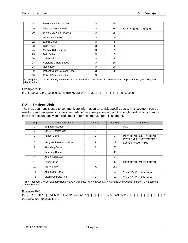| <b>SSN Number - Patient</b><br>Driver's Lic Num - Patient<br>Mother's Identifier<br><b>Ethnic Group</b><br><b>Birth Place</b><br>Multiple Birth Indicator | O<br>O<br>$\circ$<br>$\circ$<br>O<br>$\circ$ | 16<br>25<br>20<br>3<br>60 | SSN Number – patient                                                                                                   |
|-----------------------------------------------------------------------------------------------------------------------------------------------------------|----------------------------------------------|---------------------------|------------------------------------------------------------------------------------------------------------------------|
|                                                                                                                                                           |                                              |                           |                                                                                                                        |
|                                                                                                                                                           |                                              |                           |                                                                                                                        |
|                                                                                                                                                           |                                              |                           |                                                                                                                        |
|                                                                                                                                                           |                                              |                           |                                                                                                                        |
|                                                                                                                                                           |                                              |                           |                                                                                                                        |
|                                                                                                                                                           |                                              | 2                         |                                                                                                                        |
| <b>Birth Order</b>                                                                                                                                        | O                                            | 2                         |                                                                                                                        |
| Citizenship                                                                                                                                               | O                                            | 4                         |                                                                                                                        |
| <b>Veterans Military Status</b>                                                                                                                           | O                                            | 60                        |                                                                                                                        |
| Nationality                                                                                                                                               | O                                            | 80                        |                                                                                                                        |
| Patient Death Date and Time                                                                                                                               | O                                            | 26                        |                                                                                                                        |
| <b>Patient Death Indicator</b>                                                                                                                            | O                                            | 1                         |                                                                                                                        |
|                                                                                                                                                           |                                              |                           | $R =$ Required, C = Conditionally Required, O = Optional, NU = Not Used, N = Numeric, AN = Alpha/Numeric, ID = Segment |

#### Example PID:

PID||12345|12345|000000000|Mouse^Mickey^M||19801011|F|||||||||||000000000

### **PV1 – Patient Visit**

The PV1 segment is used to communicate information on a visit-specific basis. This segment can be used to send multiple-visit statistic records to the same patient account or single-visit records to more than one account. Individual sites must determine the use for this segment.

| Seg            | <b>Element Name</b>                                                                                                    | Optional     | Length            | Comments                                             |  |  |  |
|----------------|------------------------------------------------------------------------------------------------------------------------|--------------|-------------------|------------------------------------------------------|--|--|--|
| 0              | Segment Header                                                                                                         | R            | 3                 | PV1                                                  |  |  |  |
|                | Set ID - Patient Visit                                                                                                 | O            | 4                 |                                                      |  |  |  |
| 2              | <b>Patient Class</b>                                                                                                   | O            |                   | <b>INPATIENT, OUTPATIENT,</b><br>PREADMIT, EMERGENCY |  |  |  |
| 3              | <b>Assigned Patient Location</b>                                                                                       | R            | 12                | Location^Room^Bed                                    |  |  |  |
| $\overline{7}$ | <b>Attending Doctor</b>                                                                                                | R            | 60                |                                                      |  |  |  |
| 8              | Referring Doctor                                                                                                       | O            | 45                |                                                      |  |  |  |
| 17             | <b>Admitting Doctor</b>                                                                                                | O            | 60                |                                                      |  |  |  |
| 18             | <b>Patient Type</b>                                                                                                    | $\circ$      | 3                 | <b>INPATIENT, OUTPATIENT</b>                         |  |  |  |
| 19             | Visit Number                                                                                                           | $\circ$      | 250               |                                                      |  |  |  |
| 44             | <b>Admit Date/Time</b>                                                                                                 | $\mathsf{R}$ | $12 \overline{ }$ | <b>YYYYMMDDhhmmss</b>                                |  |  |  |
| 45             | Discharge Date/Time                                                                                                    | C            | 12                | <b>YYYYMMDDhhmmss</b>                                |  |  |  |
| Identification | $R =$ Required, C = Conditionally Required, O = Optional, NU = Not Used, N = Numeric, AN = Alpha/Numeric, ID = Segment |              |                   |                                                      |  |  |  |

Example PV1:

PV1||I|^PTLOC^||||654321^Default^Physician^^^^|||||||||||012328329102312|||||||||||||||||||||||||||| 00105100802|200203031642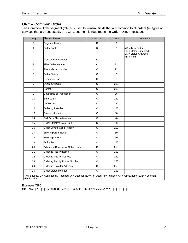### **ORC – Common Order**

The Common Order segment (ORC) is used to transmit fields that are common to all orders (all types of services that are requested). The ORC segment is required in the Order (ORM) message.

| Seg             | <b>Element Name</b>                                                                                                    | Optional           | Length           | <b>Comments</b>                                                                |
|-----------------|------------------------------------------------------------------------------------------------------------------------|--------------------|------------------|--------------------------------------------------------------------------------|
| 0               | Segment Header                                                                                                         | R.                 | 3                |                                                                                |
| $\mathbf{1}$    | <b>Order Control</b>                                                                                                   | $\overline{R}$     | $\overline{2}$   | $NW = New Order$<br>OC = Order Cancelled<br>SC = Status Changed<br>$HD = Hold$ |
| $\overline{2}$  | <b>Placer Order Number</b>                                                                                             | C                  | $\overline{22}$  |                                                                                |
| 3               | Filler Order Number                                                                                                    | $\overline{C}$     | 22               |                                                                                |
| $\overline{4}$  | <b>Placer Group Number</b>                                                                                             | $\overline{0}$     | 22               |                                                                                |
| 5               | <b>Order Status</b>                                                                                                    | $\overline{\circ}$ | $\overline{2}$   |                                                                                |
| $6\overline{6}$ | <b>Response Flag</b>                                                                                                   | $\overline{0}$     | $\overline{1}$   |                                                                                |
| $\overline{7}$  | Quantity/Timing                                                                                                        | $\overline{0}$     | 200              |                                                                                |
| 8               | Parent                                                                                                                 | $\overline{O}$     | 200              |                                                                                |
| 9               | Date/Time of Transaction                                                                                               | $\overline{\circ}$ | 26               |                                                                                |
| 10              | <b>Entered By</b>                                                                                                      | $\overline{\circ}$ | 120              |                                                                                |
| 11              | Verified By                                                                                                            | $\overline{\circ}$ | 120              |                                                                                |
| 12              | <b>Ordering Provider</b>                                                                                               | O                  | 120              |                                                                                |
| 13              | <b>Enterer's Location</b>                                                                                              | $\overline{\circ}$ | 80               |                                                                                |
| 14              | Call Back Phone Number                                                                                                 | $\circ$            | 40               |                                                                                |
| $\overline{15}$ | Order Effective Date/Time                                                                                              | $\overline{\circ}$ | 26               |                                                                                |
| 16              | Order Control Code Reason                                                                                              | O                  | 200              |                                                                                |
| $\overline{17}$ | <b>Entering Organization</b>                                                                                           | $\overline{\circ}$ | 60               |                                                                                |
| $\overline{18}$ | <b>Entering Device</b>                                                                                                 | $\overline{O}$     | 60               |                                                                                |
| 19              | <b>Action By</b>                                                                                                       | $\circ$            | 120              |                                                                                |
| 20              | <b>Advanced Beneficiary Notice Code</b>                                                                                | $\overline{\circ}$ | 250              |                                                                                |
| $\overline{21}$ | <b>Ordering Facility Name</b>                                                                                          | $\overline{O}$     | 250              |                                                                                |
| $\overline{22}$ | <b>Ordering Facility Address</b>                                                                                       | $\overline{O}$     | $\overline{250}$ |                                                                                |
| $\overline{23}$ | <b>Ordering Facility Phone Number</b>                                                                                  | $\overline{\circ}$ | 250              |                                                                                |
| $\overline{24}$ | <b>Ordering Provider Address</b>                                                                                       | $\overline{O}$     | 250              |                                                                                |
| $\overline{25}$ | <b>Order Status Modifier</b>                                                                                           | $\overline{\circ}$ | 250              |                                                                                |
| Identification  | $R =$ Required, C = Conditionally Required, O = Optional, NU = Not Used, N = Numeric, AN = Alpha/Numeric, ID = Segment |                    |                  |                                                                                |

Example ORC: ORC|NW||25||||||200203061205|||654321^Default^Physician^^^^|||||||||||||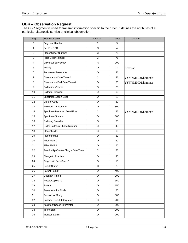### **OBR – Observation Request**

The OBR segment is used to transmit information specific to the order. It defines the attributes of a particular diagnostic service or clinical observation

| Seg             | <b>Element Name</b>                 | Optional                | Length          | Comments              |
|-----------------|-------------------------------------|-------------------------|-----------------|-----------------------|
| 0               | Segment Header                      | R                       | 3               |                       |
| $\mathbf{1}$    | Set ID - OBR                        | $\overline{C}$          | 4               |                       |
| $\overline{2}$  | Placer Order Number                 | $\overline{\mathsf{C}}$ | $\overline{75}$ |                       |
| 3               | Filler Order Number                 | $\overline{\text{c}}$   | $\overline{75}$ |                       |
| $\overline{4}$  | Universal Service ID                | $\overline{R}$          | 200             |                       |
| 5               | Priority                            | $\overline{\circ}$      | 2               | 'S'=Stat              |
| 6               | Requested Date/time                 | $\overline{\circ}$      | 26              |                       |
| 7               | Observation Date/Time #             | $\overline{\text{c}}$   | 26              | <b>YYYYMMDDhhmmss</b> |
| 8               | Observation End Date/Time #         | O                       | 26              | <b>YYYYMMDDhhmmss</b> |
| $\overline{9}$  | <b>Collection Volume</b>            | $\overline{\circ}$      | $\overline{20}$ |                       |
| 10              | Collector Identifier                | $\overline{O}$          | 60              |                       |
| 11              | <b>Specimen Action Code</b>         | O                       | $\mathbf{1}$    |                       |
| 12              | Danger Code                         | O                       | 60              |                       |
| $\overline{13}$ | Relevant Clinical Info.             | $\overline{O}$          | 300             |                       |
| 14              | Specimen Received Date/Time         | $\overline{\text{c}}$   | $\overline{26}$ | <b>YYYYMMDDhhmmss</b> |
| 15              | <b>Specimen Source</b>              | O                       | 300             |                       |
| 16              | <b>Ordering Provider</b>            | $\overline{O}$          | 80              |                       |
| $\overline{17}$ | Order Callback Phone Number         | $\overline{\circ}$      | 40              |                       |
| 18              | Placer field 1                      | O                       | 60              |                       |
| 19              | Placer field 2                      | $\overline{O}$          | 60              |                       |
| 20              | Filler Field 1                      | $\overline{\circ}$      | 60              |                       |
| 21              | Filler Field 2                      | O                       | 60              |                       |
| $\overline{22}$ | Results Rpt/Status Chng - Date/Time | $\overline{c}$          | 26              |                       |
| 23              | Charge to Practice                  | O                       | 40              |                       |
| 24              | Diagnostic Serv Sect ID             | O                       | 10              |                       |
| $\overline{25}$ | <b>Result Status</b>                | $\overline{c}$          | $\mathbf{1}$    |                       |
| 26              | <b>Parent Result</b>                | $\overline{0}$          | 400             |                       |
| 27              | Quantity/Timing                     | O                       | 200             |                       |
| 28              | <b>Result Copies To</b>             | O                       | 150             |                       |
| 29              | Parent                              | ō                       | 150             |                       |
| 30              | <b>Transportation Mode</b>          | $\overline{O}$          | 20              |                       |
| 31              | Reason for Study                    | $\overline{0}$          | 300             |                       |
| 32              | Principal Result Interpreter        | $\overline{O}$          | 200             |                       |
| 33              | Assistant Result Interpreter        | $\overline{O}$          | 200             |                       |
| 34              | Technician                          | $\overline{O}$          | 200             |                       |
| $\overline{35}$ | Transcriptionist                    | O                       | 200             |                       |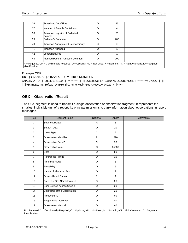| 36                                                                                                                                         | Scheduled Date/Time                               | Ω        | 26  |  |
|--------------------------------------------------------------------------------------------------------------------------------------------|---------------------------------------------------|----------|-----|--|
| 37                                                                                                                                         | Number of Sample Containers                       | റ        | 4   |  |
| 38                                                                                                                                         | <b>Transport Logistics of Collected</b><br>Sample | Ω        | 60  |  |
| 39                                                                                                                                         | <b>Collector's Comment</b>                        | Ω        | 200 |  |
| 40                                                                                                                                         | <b>Transport Arrangement Responsibility</b>       |          | 60  |  |
| 41                                                                                                                                         | <b>Transport Arranged</b>                         | Ω        | 30  |  |
| 42                                                                                                                                         | <b>Escort Required</b>                            | $\Omega$ |     |  |
| 43                                                                                                                                         | Planned Patient Transport Comment                 | റ        | 200 |  |
| $R =$ Required, CR = Conditionally Required, O = Optional, NU = Not Used, N = Numeric, AN = Alpha/Numeric, ID = Segment<br>Ildentification |                                                   |          |     |  |

Example OBR:

OBR||306180572||73075^FACTOR V LEIDEN MUTATION

ANALYSIS^HLA|||200306181234|||^^^^^^^|||||1&Blood&HLA|23104^MCCLURE^JOSEPH^""^^^MD^DOC||||| |||^ScImage, Inc. Software^4916 El Camino Real^^Los Altos^CA^94022|F||^^^^

### **OBX – Observation/Result**

The OBX segment is used to transmit a single observation or observation fragment. It represents the smallest indivisible unit of a report. Its principal mission is to carry information about observations in report messages.

| Seg                                                                                                                                      | <b>Element Name</b>               | Optional              | Length          | Comments |  |
|------------------------------------------------------------------------------------------------------------------------------------------|-----------------------------------|-----------------------|-----------------|----------|--|
| $\mathbf 0$                                                                                                                              | <b>Segment Header</b>             | R                     | 3               |          |  |
| $\mathbf{1}$                                                                                                                             | Set ID - OBX                      | $\Omega$              | 10              |          |  |
| $\overline{2}$                                                                                                                           | Value Type                        | $\overline{c}$        | $\overline{2}$  |          |  |
| 3                                                                                                                                        | Observation Identifier            | $\overline{R}$        | 590             |          |  |
| $\overline{4}$                                                                                                                           | <b>Observation Sub-ID</b>         | $\overline{\text{c}}$ | $\overline{20}$ |          |  |
| 5                                                                                                                                        | <b>Observation Value</b>          | $\overline{c}$        | 65536           |          |  |
| 6                                                                                                                                        | <b>Units</b>                      | $\Omega$              | 60              |          |  |
| $\overline{7}$                                                                                                                           | References Range                  | O                     | 10              |          |  |
| 8                                                                                                                                        | Abnormal Flags                    | $\circ$               | 5               |          |  |
| 9                                                                                                                                        | Probability                       | $\overline{O}$        | $\overline{5}$  |          |  |
| 10                                                                                                                                       | Nature of Abnormal Test           | O                     | $\overline{2}$  |          |  |
| $\overline{11}$                                                                                                                          | <b>Observ Result Status</b>       | $\overline{R}$        | $\mathbf{1}$    |          |  |
| $\overline{12}$                                                                                                                          | Date Last Obs Normal Values       | $\overline{O}$        | 26              |          |  |
| 13                                                                                                                                       | <b>User Defined Access Checks</b> | $\circ$               | 20              |          |  |
| 14                                                                                                                                       | Date/Time of the Observation      | O                     | 26              |          |  |
| $\overline{15}$                                                                                                                          | Producer's ID                     | $\overline{O}$        | 60              |          |  |
| 16                                                                                                                                       | Responsible Observer              | O                     | 80              |          |  |
| 17                                                                                                                                       | <b>Observation Method</b>         | O                     | 60              |          |  |
| $R =$ Required, C = Conditionally Required, O = Optional, NU = Not Used, N = Numeric, AN = Alpha/Numeric, ID = Segment<br>Identification |                                   |                       |                 |          |  |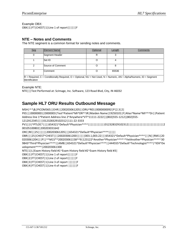Example OBX: OBX|1|FT|CHEST|1|Line 1 of report||||||F

### **NTE – Notes and Comments**

The NTE segment is a common format for sending notes and comments.

| Seg            | <b>Element Name</b>                                                                                                     | Optional | Length | Comments |
|----------------|-------------------------------------------------------------------------------------------------------------------------|----------|--------|----------|
|                | Segment Header                                                                                                          |          |        |          |
|                | Set ID                                                                                                                  |          |        |          |
|                | Source of Comment                                                                                                       |          |        |          |
|                | Comment                                                                                                                 |          | 65536  |          |
| Identification | $ R =$ Required, C = Conditionally Required, O = Optional, NU = Not Used, N = Numeric, AN = Alpha/Numeric, ID = Segment |          |        |          |

Example NTE:

NTE|||Test Performed at: ScImage, Inc. Software, 123 Road Blvd, City, IN 46032

# **Sample HL7 ORU Results Outbound Message**

MSH|^~\&|PICOM365||EHR||200203061205||ORU^R01|0000000092|P|2.3|2|

PID|||00000001|D000003|Test^Patient^MI^DR^^JR|Maiden Name|19250101|F|Alias^Name^MI^^^Dr||Patient Address line 1^Patient Address line 2^Anywhere^VT^11111-2222||(802)555-1212|(802)555-

1212X12345||||012328329102312|111-22-3333

PV1||I|^PTLOC^||||654321^Default^Physician^^^^||||||||||||012328329102312|||||||||||||||||||||||||2 00105100802|200203031642

ORC|RE||25||||||200203061205|||654321^Default^Physician^^^^|||||

OBR|||25|CHEST^CHEST|||200203061200||||||003.1,003.22|||654321^Default^Physician^^^^|||N||RM1|20 0203061204|||P||^^M15\*^200203061158^^9|123122^Another^Physician^^^^~^YetAnother^Physician^^^^~30 9843^Third^Physician^^^^||AMB||654321^Default^Physician^^^^||444555^Default^Technologist^^^^|^IDX^De velopment^^^^|200203061300

NTE|1|L|Exam History field #1~Exam History field #2~Exam History field #3|

OBX|1|FT|CHEST|1|Line 1 of report||||||F

OBX|2|FT|CHEST|1|Line 2 of report||||||F

OBX|3|FT|CHEST|1|Line 3 of report ||||||F

OBX|4|FT|CHEST|1|Line 4 of report ||||||F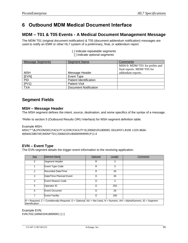# **6 Outbound MDM Medical Document Interface**

### **MDM – T01 & T05 Events - A Medical Document Management Message**

The MDM T01 (original document notification) & T05 (document addendum notification) messages are used to notify an EMR or other HL7 system of a preliminary, final, or addendum report.

| { } Indicate repeatable segments |
|----------------------------------|
| [] Indicate optional segments    |

| <b>Message Segments</b> | <b>Segment Name</b>    | Comments                      |
|-------------------------|------------------------|-------------------------------|
|                         |                        | MSH-9: MDM^T01 for prelim and |
|                         |                        | final reports. MDM^T05 for    |
| <b>MSH</b>              | Message Header         | addendum reports.             |
| [EVN]                   | Event Type             |                               |
| PID                     | Patient Identification |                               |
| [PV1]                   | <b>Patient Visit</b>   |                               |
| <b>TXA</b>              | Document Notification  |                               |

# **Segment Fields**

### **MSH – Message Header**

The MSH segment defines the intent, source, destination, and some specifics of the syntax of a message.

\*Refer to section 5 (Outbound Results ORU Interface) for MSH segment definition table.

Example MSH:

```
MSH|^~\&|PICOM365|FACILITY A|EHR|FACILITY B|20060105180000| D61AFEF1-B10E-11D5-8666-
0004ACD80749|MDM^T01|20060105180000999999|P|2.4
```
### **EVN – Event Type**

The EVN segment details the trigger event information to the receiving application.

| Seg                                                                                                                                      | <b>Element Name</b>       | Optional | Length | Comments |
|------------------------------------------------------------------------------------------------------------------------------------------|---------------------------|----------|--------|----------|
| 0                                                                                                                                        | <b>Segment Header</b>     | R        | 3      |          |
|                                                                                                                                          | Event Type Code           | R        | 3      |          |
| 2                                                                                                                                        | <b>Recorded Date/Time</b> | R        | 26     |          |
| 3                                                                                                                                        | Date/Time Planned Event   | $\circ$  | 26     |          |
| 4                                                                                                                                        | Event Reason Code         | O        | 3      |          |
| 5                                                                                                                                        | Operator ID               | O        | 250    |          |
| 6                                                                                                                                        | <b>Event Occurred</b>     | O        | 26     |          |
|                                                                                                                                          | <b>Event Facility</b>     | O        | 180    |          |
| $R =$ Required, C = Conditionally Required, O = Optional, NU = Not Used, N = Numeric, AN = Alpha/Numeric, ID = Segment<br>Identification |                           |          |        |          |

Example EVN: EVN|T02|200601041800000|||||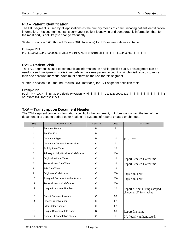### **PID – Patient Identification**

The PID segment is used by all applications as the primary means of communicating patient identification information. This segment contains permanent patient identifying and demographic information that, for the most part, is not likely to change frequently.

\*Refer to section 5 (Outbound Results ORU Interface) for PID segment definition table.

```
Example PID:
PID||12345|12345|00000001|Mouse^Mickey^M||19801011|F|||||||||||123456789|||||||||||
```
### **PV1 – Patient Visit**

The PV1 segment is used to communicate information on a visit-specific basis. This segment can be used to send multiple-visit statistic records to the same patient account or single-visit records to more than one account. Individual sites must determine the use for this segment.

\*Refer to section 5 (Outbound Results ORU Interface) for PV1 segment definition table.

Example PV1: PV1||I|^PTLOC^||||654321^Default^Physician^^^^||||||||||||012328329102312|||||||||||||||||||||||||2 00105100802|200203031642

### **TXA – Transcription Document Header**

The TXA segment contains information specific to the document, but does not contain the text of the document. It is used to update other healthcare systems of reports created or changed.

| Seg             | <b>Element Name</b>                 | Optional           | Length          | Comments                                                    |
|-----------------|-------------------------------------|--------------------|-----------------|-------------------------------------------------------------|
| 0               | <b>Segment Header</b>               | R                  | 3               |                                                             |
| $\mathbf{1}$    | Set ID - TXA                        | $\overline{R}$     | $\overline{4}$  |                                                             |
| $\overline{2}$  | Document Type                       | $\overline{R}$     | $\overline{30}$ | TE - Text                                                   |
| 3               | Document Context Presentation       | $\Omega$           | $\overline{2}$  |                                                             |
| 4               | <b>Activity Date/Time</b>           | O                  | 26              |                                                             |
| 5               | Primary Activity Provider Code/Name | $\circ$            | 250             |                                                             |
| 6               | Origination Date/Time               | $\circ$            | 26              | <b>Report Created Date/Time</b>                             |
| $\overline{7}$  | <b>Transcription Date/Time</b>      | $\circ$            | 26              | <b>Report Created Date/Time</b>                             |
| 8               | Edit Date/Time                      | $\circ$            | 26              |                                                             |
| 9               | Originator Code/Name                | $\circ$            | 250             | Physician's NPI                                             |
| 10              | Assigned Document Authenticator     | $\Omega$           | 250             | Physician's NPI                                             |
| 11              | <b>Transcriptionist Code/Name</b>   | $\Omega$           | 250             |                                                             |
| $\overline{12}$ | <b>Unique Document Number</b>       | $\overline{R}$     | 30              | Report file path using escaped<br>character \E\ for slashes |
| 13              | <b>Parent Document Number</b>       | $\circ$            | 30              |                                                             |
| $\overline{14}$ | <b>Placer Order Number</b>          | $\overline{\circ}$ | 22              |                                                             |
| 15              | <b>Filler Order Number</b>          | $\circ$            | 22              |                                                             |
| 16              | Unique Document File Name           | R                  | 30              | Report file name                                            |
| 17              | Document Completion Status          | O                  | 2               | LA (legally authenticated)                                  |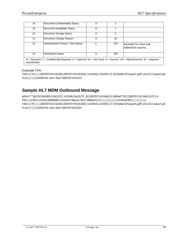| 18             | Document Confidentiality Status                                                                                        | С | 2   |                                             |
|----------------|------------------------------------------------------------------------------------------------------------------------|---|-----|---------------------------------------------|
| 19             | Document Availability Status                                                                                           | Ω | 2   |                                             |
| 20             | Document Storage Status                                                                                                | O | 2   |                                             |
| 21             | Document Change Reason                                                                                                 | C | 30  |                                             |
| 22             | Authentication Person, Time Stamp                                                                                      | C | 250 | Included for final and<br>addendum reports. |
| 23             | <b>Distributed Copies</b>                                                                                              | Ω | 250 |                                             |
| Identification | $R =$ Required, C = Conditionally Required, O = Optional, NU = Not Used, N = Numeric, AN = Alpha/Numeric, ID = Segment |   |     |                                             |

### Example TXA:

TXA|1|TE||||20070719133258|20070719133258||123456|123456||C:\E\folder\E\report.pdf||A123||report.pd f|LA|||||123456^Dr John Doe^200707191332|

# **Sample HL7 MDM Outbound Message**

MSH|^~\&|PICOM365|FACILITY\_A|EHR|FACILITY\_B|20070719134813||MDM^T01|20070719134813|P|2.4 PID||12345|12345|00000001|Patient^Name^M||19801011|F||||||||||123456789||||||||||| TXA|1|TE||||20070719133258|20070719133258||123456|123456||C:\E\folder\E\report.pdf||A123||report.pd f|LA|||||123456^Dr John Doe^200707191332|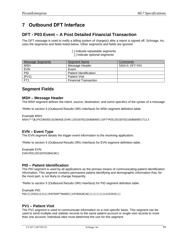# **7 Outbound DFT Interface**

# **DFT - P03 Event – A Post Detailed Financial Transaction**

The DFT message is used to notify a billing system of charge(s) after a report is signed off. ScImage, Inc. uses the segments and fields listed below. Other segments and fields are ignored.

| { } Indicate repeatable segments |
|----------------------------------|
| [] Indicate optional segments    |

| Message Segments | <b>Segment Name</b>           | Comments       |
|------------------|-------------------------------|----------------|
| <b>MSH</b>       | Message Header                | MSH-9: DFT^P03 |
| <b>EVN</b>       | Event                         |                |
| PID              | <b>Patient Identification</b> |                |
| [PV1]            | <b>Patient Visit</b>          |                |
| FT <sub>1</sub>  | <b>Financial Transaction</b>  |                |

# **Segment Fields**

### **MSH – Message Header**

The MSH segment defines the intent, source, destination, and some specifics of the syntax of a message.

\*Refer to section 5 (Outbound Results ORU Interface) for MSH segment definition table.

```
Example MSH:
MSH|^~\&|PICOM365|SCIMAGE|EHR||20150702105806905||DFT^P03|20150702105806905|T|2.3
```
### **EVN – Event Type**

The EVN segment details the trigger event information to the receiving application.

\*Refer to section 5 (Outbound Results ORU Interface) for EVN segment definition table.

Example EVN: EVN|P03|20150701084238||

### **PID – Patient Identification**

The PID segment is used by all applications as the primary means of communicating patient identification information. This segment contains permanent patient identifying and demographic information that, for the most part, is not likely to change frequently.

\*Refer to section 5 (Outbound Results ORU Interface) for PID segment definition table.

```
Example PID:
PID|1||910111111||PATIENT^NAME||19740428|M||||||||||111223333|||
```
### **PV1 – Patient Visit**

The PV1 segment is used to communicate information on a visit-specific basis. This segment can be used to send multiple-visit statistic records to the same patient account or single-visit records to more than one account. Individual sites must determine the use for this segment.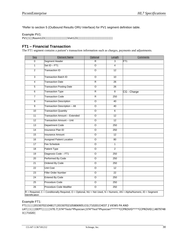\*Refer to section 5 (Outbound Results ORU Interface) for PV1 segment definition table.

Example PV1:

PV1|1||Room123||||||||||||||||Visit123|||||||||||||||||||||||||

### **FT1 – Financial Transaction**

The FT1 segment contains a patient's transaction information such as charges, payments and adjustments.

| Seg             | <b>Element Name</b>                                                                                                    | Optional           | Length          | Comments    |  |  |
|-----------------|------------------------------------------------------------------------------------------------------------------------|--------------------|-----------------|-------------|--|--|
| 0               | <b>Segment Header</b>                                                                                                  | R.                 | 3               | FT1         |  |  |
| $\mathbf{1}$    | Set ID-FT1                                                                                                             | $\overline{\rm o}$ | 4               |             |  |  |
| $\overline{2}$  | <b>Transaction ID</b>                                                                                                  | $\overline{\circ}$ | 12              |             |  |  |
| $\overline{3}$  | <b>Transaction Batch ID</b>                                                                                            | $\overline{\circ}$ | 10              |             |  |  |
| $\overline{4}$  | <b>Transaction Date</b>                                                                                                | R.                 | 26              |             |  |  |
| $\overline{5}$  | <b>Transaction Posting Date</b>                                                                                        | O                  | $\overline{26}$ |             |  |  |
| 6               | <b>Transaction Type</b>                                                                                                | $\overline{R}$     | 8               | CG - Charge |  |  |
| $\overline{7}$  | <b>Transaction Code</b>                                                                                                | $\mathsf{R}$       | 250             |             |  |  |
| $\overline{8}$  | <b>Transaction Description</b>                                                                                         | $\overline{\circ}$ | 40              |             |  |  |
| $\overline{9}$  | Transaction Description - Alt                                                                                          | $\overline{\circ}$ | 40              |             |  |  |
| 10              | <b>Transaction Quantity</b>                                                                                            | $\overline{\circ}$ | 6               |             |  |  |
| 11              | Transaction Amount - Extended                                                                                          | $\overline{\circ}$ | 12              |             |  |  |
| 12              | <b>Transaction Amount - Unit</b>                                                                                       | $\overline{\circ}$ | 12              |             |  |  |
| 13              | <b>Department Code</b>                                                                                                 | $\overline{O}$     | 250             |             |  |  |
| $\overline{14}$ | Insurance Plan ID                                                                                                      | $\overline{O}$     | 250             |             |  |  |
| 15              | <b>Insurance Amount</b>                                                                                                | $\overline{O}$     | $\overline{12}$ |             |  |  |
| 16              | <b>Assigned Patient Location</b>                                                                                       | $\overline{O}$     | 80              |             |  |  |
| 17              | Fee Schedule                                                                                                           | $\circ$            | $\mathbf{1}$    |             |  |  |
| $\overline{18}$ | Patient Type                                                                                                           | $\overline{\circ}$ | 2               |             |  |  |
| 19              | Diagnosis Code - FT1                                                                                                   | $\circ$            | 250             |             |  |  |
| 20              | Performed By Code                                                                                                      | $\overline{\circ}$ | 250             |             |  |  |
| $\overline{21}$ | Ordered By Code                                                                                                        | $\circ$            | 250             |             |  |  |
| $\overline{22}$ | <b>Unit Cost</b>                                                                                                       | $\overline{O}$     | 12              |             |  |  |
| $\overline{23}$ | <b>Filler Order Number</b>                                                                                             | $\overline{O}$     | 22              |             |  |  |
| $\overline{24}$ | <b>Entered By Code</b>                                                                                                 | $\overline{O}$     | 250             |             |  |  |
| 25              | Procedure Code                                                                                                         | $\circ$            | 250             |             |  |  |
| 26              | Procedure Code Modifier                                                                                                | $\overline{O}$     | 250             |             |  |  |
| Identification  | $R =$ Required, C = Conditionally Required, O = Optional, NU = Not Used, N = Numeric, AN = Alpha/Numeric, ID = Segment |                    |                 |             |  |  |

Example FT1: FT1|1|||20150702104817|20150702105806905|CG|71020|CHEST 2 VIEWS PA AND LAT||1|||DEPT||||||V70.7|374^Tests^Physician|374^Test^Physician^^^^^^CCPROVID^^^^CCPROVID||4879748 3||71020|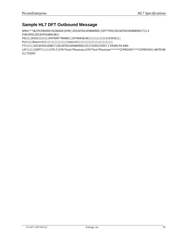# **Sample HL7 DFT Outbound Message**

MSH|^~\&|PICOM365|SCIMAGE|EHR||20150702105806905||DFT^P03|20150702105806905|T|2.3 EVN|P03|20150701084238|| PID|1||910111111||PATIENT^NAME||19740428|M||||||||||111223333||| PV1|1||Room123||||||||||||||||Visit123||||||||||||||||||||||||| FT1|1|||20150702104817|20150702105806905|CG|71020|CHEST 2 VIEWS PA AND LAT||1|||DEPT||||||V70.7|374^Tests^Physician|374^Test^Physician^^^^^^CCPROVID^^^^CCPROVID||4879748 3||71020|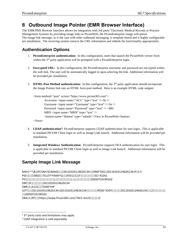# **8 Outbound Image Pointer (EMR Browser Interface)**

The EMR/PMS Browser Interface allows for integration with 3rd party<sup>1</sup> Electronic Medical Records or Practice Management Systems by providing image links to PicomWeb, the PicomEnterprise image web portal. The image link message, as is the case with other outbound messaging, is template-based and is highly configurable per installation. The receiving system extracts the URL information and imbeds the functionality appropriately.

# **Authentication Options**

- 1. **PicomEnterprise authentication:** In this configuration, users that launch the PicomWeb viewer from within the 3<sup>rd</sup> party application will be prompted with a PicomEnterprise login.
- 2. **Encrypted URL:** In this configuration, the PicomEnterprise username and password are encrypted within the web link. The user will be automatically logged in upon selecting the link. Additional information will be provided per installation.
- 3. **HTML-Post Method authentication:** In this configuration, the 3rd party application should incorporate the Image Pointer link into an HTML form post method. Here is an example HTML code snippet:

<form method="post" action="https://www.picom365.com"> Accession  $\langle$ input name="ACC" type="text"  $\langle$   $\rangle$   $\langle$ br  $\rangle$ Username <input name="Username" type="text" /> <br/> /> Password <input name="Password" type="text" /> <BR> MRN <input name="MRN" type="text" /> <button name="Button" type="submit">View in PicomWeb</button>

</form>

- 4. **LDAP authentication<sup>2</sup> :** PicomEnterprise supports LDAP authentication for user login. This is applicable to standard PICOM Client login as well as Image Link launch. Additional information will be provided per installation.
- 5. **Integrated Windows Authentication:** PicomEnterprise supports IWA authentication for user login. This is applicable to standard PICOM Client login as well as Image Link launch. Additional information will be provided per installation.

# **Sample Image Link Message**

MSH|^~\&|PICOM|SCIMAGE|||20110103124626134||ORM^O01|20110103124626134|P|2.3 PID|1||10002||TILLEY^FRAN^Q||19331212|F||||||||||SCI-43261 PV1|1|||||||||||||||||||||||||||||||||||||||||||20050724190102 ORC|SC||||||||20110103124626134 OBR|1|A122||73500^HIP LEFT|||20110103124626134|20110103124626134||||||||ROSE^JODY||||||20110103124626134|||2||||||||| ||20050724190102 OBX|1|RP|||https://www.Picom365.com/?ACC=A122||||||2

 $\overline{a}$ 

 $^{1}$  3<sup>rd</sup> party costs and limitations may apply

<sup>&</sup>lt;sup>2</sup> LDAP integration is sold separately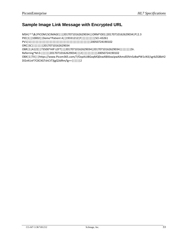# **Sample Image Link Message with Encrypted URL**

MSH|^~\&|PICOM|SCIMAGE|||20170710162629034||ORM^O01|20170710162629034|P|2.3 PID|1||10002||Demo^Patient A||19331212|F||||||||||SCI-43261 PV1|1|||||||||||||||||||||||||||||||||||||||||||20050724190102 ORC|SC||||||||20170710162629034 OBR|1|A122||73500^HIP LEFT|||20170710162629034|20170710162629034||||||||Dr. Referring^M.D.||||||20170710162629034|||2|||||||||||20050724190102 OBX|1|TX|||https://www.Picom365.com/?/OzpAUi8GxqMQ0vwX8AlxwJpwXAmslE0VnSz8wPW1cN3/sgrbZG8bH2 Dl2vKUvF7C0CXGTshCtT3jgQ3dRm/lg==||||||2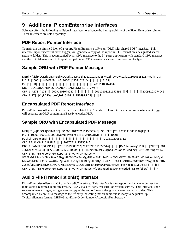# **9 Additional PicomEnterprise Interfaces**

ScImage offers the following additional interfaces to enhance the interoperability of the PicomEnterprise solution. These interfaces are sold separately.

# **PDF Report Pointer Interface**

To maintain the finished look of a report, PicomEnterprise offers an "ORU with shared PDF" interface. This interface, upon successful event trigger, will generate a copy of the report in PDF format on a designated shared network folder. This is accompanied by an ORU message to the 3<sup>rd</sup> party application with standard ORU message and the PDF filename and fully qualified path in an OBX segment as a text or remote pointer type.

# **Sample ORU with PDF Pointer Message**

MSH|^~\&|PICOM|SCIMAGE|PICOM|SCIMAGE|20110103151157492||ORU^R01|20110103151157492|P|2.3 PID|1||10001||MEYER^BILL^A|10001|19591023|M||||||||||A178| PV1|1||ER|||||||||||||||||||||||||||||||||||||||||20091103074042 ORC|RE|A178|A178|^ECHOCARDIOGAM COMPLETE (Vivd7) OBR|1|A178|A178||||20091103074042|||||||||||||||20110103151157492|||F|||||||||||20091103074042 OBX|1|TX|||**C:\PDFOutbox\20110103151157492.PDF**||||||F

# **Encapsulated PDF Report Interface**

PicomEnterprise offers an "ORU with Encapsulated PDF" interface. This interface, upon successful event trigger, will generate an ORU containing a Base64 encoded PDF.

# **Sample ORU with Encapsulated PDF Message**

MSH|^~\&|PICOM|SCIMAGE||SCI000|20170711115855546||ORU^R01|20170711115855546|P|2.3 PID|1|10001|10001|10001|Demo^Patient B||19591023|M|||||||||10001| PV1|1||Cardiology|||||||||||||||||||||||||||||||||||||||||20131029085712 ORC|RE|SAMPLE|SAMPLE||||||20170711115855546

OBR|1|SAMPLE|SAMPLE||||20131029085712|20170711115855546||||||||Dr.^Referring^M.D.||||2TEST||201 70612125740384|||F^20170612125740384|||||||Electronically Signed By: John^Reading||Dr.^Referring^M.D. OBX|1|ED|PDFReport^PDF Report1|1|^AP^PDF^Base64^

JVBERi0xLjMKJcfsj6IKNSAwIG9iago8PC9MZW5ndGggNiAwIFIvRmlsdGVyIC9GbGF0ZURlY29kZT4+CnN0cmVhbQp4n MVaWXMctxF+318xLy4vUtoR7gH4ZtEU5ZRlyxStOBXngSLFo0Jy15QoR/8+3cAA3bMDHk6kWCqRWByN7g9fH8Dqt07 2SncS/5bG8dXi6cHQnb1fpO7uYH9s3JwtfluE3uCf1MHbx1fds0NYGLvYa2V96A5PFyoNqc4p21vbDcH0F||||||F| OBX|2|ED|PDFReport^PDF Report1|2|^AP^PDF^Base64^(Continued Base64 encoded PDF to follow)||||||F|

# **Audio File (Transcriptionist) Interface**

PicomEnterprise offers an "ORU with Audio" interface. This interface is a transport mechanism to deliver the radiologist's recorded audio file (WMA / WAV) to a  $3<sup>rd</sup>$  party transcription system/service. This interface, upon successful event trigger, will generate a copy of the audio file on a designated shared network folder. This is accompanied by an ORU message to the  $3<sup>rd</sup>$  party indicating that an audio file is ready to be picked-up. Typical filename format: MRN~StudyDate~OrderNumber~AccessionNumber.wav